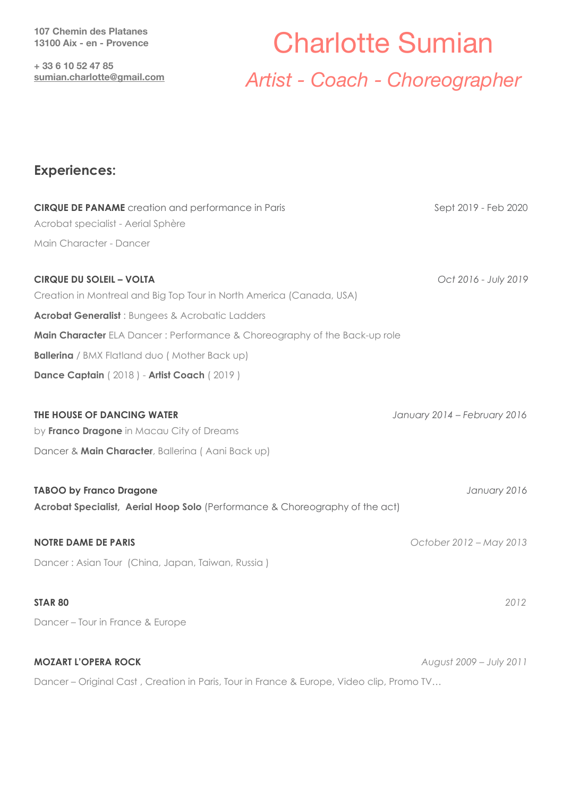**107 Chemin des Platanes 13100 Aix - en - Provence** 

**+ 33 6 10 52 47 85 [sumian.charlotte@gmail.com](mailto:sumian.charlotte@gmail.com)**

# Charlotte Sumian *Artist - Coach - Choreographer*

### **Experiences:**

| <b>CIRQUE DE PANAME</b> creation and performance in Paris                                | Sept 2019 - Feb 2020         |
|------------------------------------------------------------------------------------------|------------------------------|
| Acrobat specialist - Aerial Sphère                                                       |                              |
| Main Character - Dancer                                                                  |                              |
|                                                                                          |                              |
| <b>CIRQUE DU SOLEIL - VOLTA</b>                                                          | Oct 2016 - July 2019         |
| Creation in Montreal and Big Top Tour in North America (Canada, USA)                     |                              |
| <b>Acrobat Generalist</b> : Bungees & Acrobatic Ladders                                  |                              |
| Main Character ELA Dancer: Performance & Choreography of the Back-up role                |                              |
| <b>Ballerina</b> / BMX Flatland duo ( Mother Back up)                                    |                              |
| Dance Captain (2018) - Artist Coach (2019)                                               |                              |
|                                                                                          |                              |
| THE HOUSE OF DANCING WATER                                                               | January 2014 - February 2016 |
| by Franco Dragone in Macau City of Dreams                                                |                              |
| Dancer & Main Character, Ballerina (Aani Back up)                                        |                              |
|                                                                                          |                              |
| <b>TABOO by Franco Dragone</b>                                                           | January 2016                 |
| Acrobat Specialist, Aerial Hoop Solo (Performance & Choreography of the act)             |                              |
|                                                                                          |                              |
| <b>NOTRE DAME DE PARIS</b>                                                               | October 2012 - May 2013      |
| Dancer: Asian Tour (China, Japan, Taiwan, Russia)                                        |                              |
|                                                                                          |                              |
| <b>STAR 80</b>                                                                           | 2012                         |
| Dancer - Tour in France & Europe                                                         |                              |
|                                                                                          |                              |
| <b>MOZART L'OPERA ROCK</b>                                                               | August 2009 - July 2011      |
| Dancer - Original Cast, Creation in Paris, Tour in France & Europe, Video clip, Promo TV |                              |